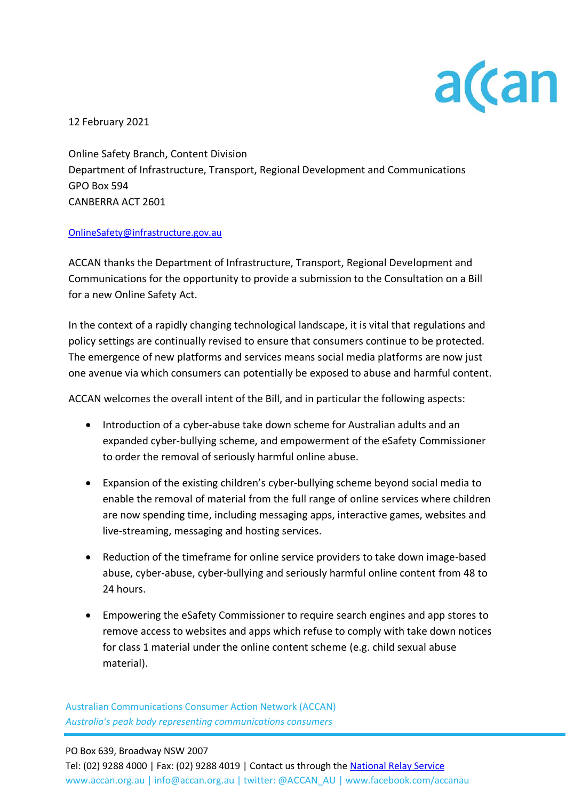

12 February 2021

Online Safety Branch, Content Division Department of Infrastructure, Transport, Regional Development and Communications GPO Box 594 CANBERRA ACT 2601

## [OnlineSafety@infrastructure.gov.au](mailto:OnlineSafety@infrastructure.gov.au)

ACCAN thanks the Department of Infrastructure, Transport, Regional Development and Communications for the opportunity to provide a submission to the Consultation on a Bill for a new Online Safety Act.

In the context of a rapidly changing technological landscape, it is vital that regulations and policy settings are continually revised to ensure that consumers continue to be protected. The emergence of new platforms and services means social media platforms are now just one avenue via which consumers can potentially be exposed to abuse and harmful content.

ACCAN welcomes the overall intent of the Bill, and in particular the following aspects:

- Introduction of a cyber-abuse take down scheme for Australian adults and an expanded cyber-bullying scheme, and empowerment of the eSafety Commissioner to order the removal of seriously harmful online abuse.
- Expansion of the existing children's cyber-bullying scheme beyond social media to enable the removal of material from the full range of online services where children are now spending time, including messaging apps, interactive games, websites and live-streaming, messaging and hosting services.
- Reduction of the timeframe for online service providers to take down image-based abuse, cyber-abuse, cyber-bullying and seriously harmful online content from 48 to 24 hours.
- Empowering the eSafety Commissioner to require search engines and app stores to remove access to websites and apps which refuse to comply with take down notices for class 1 material under the online content scheme (e.g. child sexual abuse material).

Australian Communications Consumer Action Network (ACCAN) *Australia's peak body representing communications consumers*

## PO Box 639, Broadway NSW 2007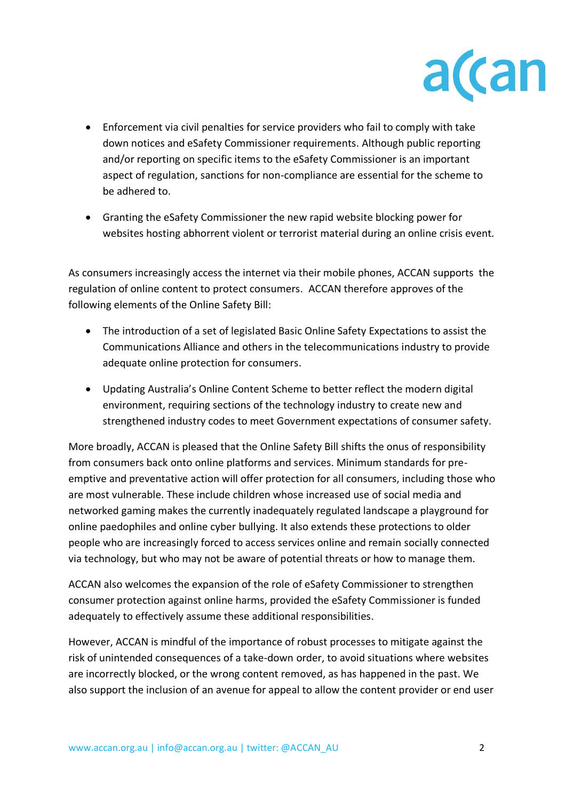

- Enforcement via civil penalties for service providers who fail to comply with take down notices and eSafety Commissioner requirements. Although public reporting and/or reporting on specific items to the eSafety Commissioner is an important aspect of regulation, sanctions for non-compliance are essential for the scheme to be adhered to.
- Granting the eSafety Commissioner the new rapid website blocking power for websites hosting abhorrent violent or terrorist material during an online crisis event.

As consumers increasingly access the internet via their mobile phones, ACCAN supports the regulation of online content to protect consumers. ACCAN therefore approves of the following elements of the Online Safety Bill:

- The introduction of a set of legislated Basic Online Safety Expectations to assist the Communications Alliance and others in the telecommunications industry to provide adequate online protection for consumers.
- Updating Australia's Online Content Scheme to better reflect the modern digital environment, requiring sections of the technology industry to create new and strengthened industry codes to meet Government expectations of consumer safety.

More broadly, ACCAN is pleased that the Online Safety Bill shifts the onus of responsibility from consumers back onto online platforms and services. Minimum standards for preemptive and preventative action will offer protection for all consumers, including those who are most vulnerable. These include children whose increased use of social media and networked gaming makes the currently inadequately regulated landscape a playground for online paedophiles and online cyber bullying. It also extends these protections to older people who are increasingly forced to access services online and remain socially connected via technology, but who may not be aware of potential threats or how to manage them.

ACCAN also welcomes the expansion of the role of eSafety Commissioner to strengthen consumer protection against online harms, provided the eSafety Commissioner is funded adequately to effectively assume these additional responsibilities.

However, ACCAN is mindful of the importance of robust processes to mitigate against the risk of unintended consequences of a take-down order, to avoid situations where websites are incorrectly blocked, or the wrong content removed, as has happened in the past. We also support the inclusion of an avenue for appeal to allow the content provider or end user